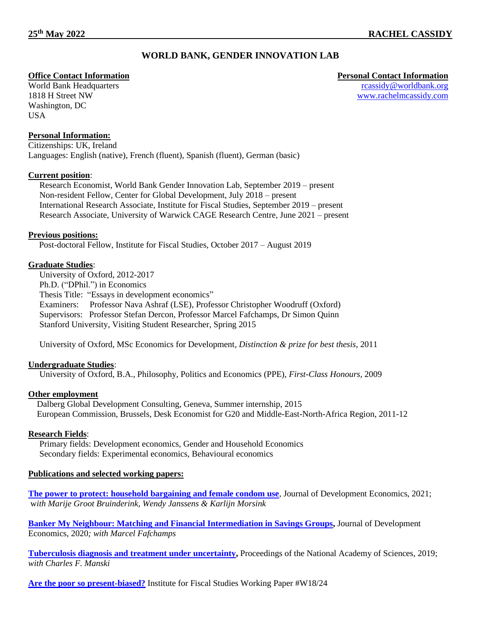# **WORLD BANK, GENDER INNOVATION LAB**

World Bank Headquarters 1818 H Street NW Washington, DC USA

### **Personal Information:**

Citizenships: UK, Ireland Languages: English (native), French (fluent), Spanish (fluent), German (basic)

### **Current position**:

Research Economist, World Bank Gender Innovation Lab, September 2019 – present Non-resident Fellow, Center for Global Development, July 2018 – present International Research Associate, Institute for Fiscal Studies, September 2019 – present Research Associate, University of Warwick CAGE Research Centre, June 2021 – present

### **Previous positions:**

Post-doctoral Fellow, Institute for Fiscal Studies, October 2017 – August 2019

### **Graduate Studies**:

University of Oxford, 2012-2017 Ph.D. ("DPhil.") in Economics Thesis Title: "Essays in development economics" Examiners: Professor Nava Ashraf (LSE), Professor Christopher Woodruff (Oxford) Supervisors: Professor Stefan Dercon, Professor Marcel Fafchamps, Dr Simon Quinn Stanford University, Visiting Student Researcher, Spring 2015

University of Oxford, MSc Economics for Development*, Distinction & prize for best thesis*, 2011

## **Undergraduate Studies**:

University of Oxford, B.A., Philosophy, Politics and Economics (PPE), *First-Class Honours*, 2009

#### **Other employment**

 Dalberg Global Development Consulting, Geneva, Summer internship, 2015 European Commission, Brussels, Desk Economist for G20 and Middle-East-North-Africa Region, 2011-12

## **Research Fields**:

Primary fields: Development economics, Gender and Household Economics Secondary fields: Experimental economics, Behavioural economics

#### **Publications and selected working papers:**

**[The power to protect: household bargaining and female condom use](https://www.sciencedirect.com/science/article/pii/S0304387821001127?via%3Dihub)**, Journal of Development Economics, 2021; w*ith Marije Groot Bruinderink, Wendy Janssens & Karlijn Morsink*

**[Banker My Neighbour: Matching and Financial Intermediation in Savings Groups,](https://www.sciencedirect.com/science/article/pii/S0304387820300353?via%3Dihub)** Journal of Development Economics, 2020*; with Marcel Fafchamps*

**[Tuberculosis diagnosis and treatment under uncertainty,](https://www.pnas.org/content/early/2019/10/28/1912091116) Proceedings of the National Academy of Sciences, 2019;** *with Charles F. Manski*

**[Are the poor so present-biased?](https://rachelmcassidysite.files.wordpress.com/2019/06/cassidy_presentbiaspakistan.pdf)** Institute for Fiscal Studies Working Paper #W18/24

**Office Contact Information Personal Contact Information** [rcassidy@worldbank.org](mailto:rcassidy@worldbank.org) [www.rachelmcassidy.com](http://www.rachelmcassidy.com/)